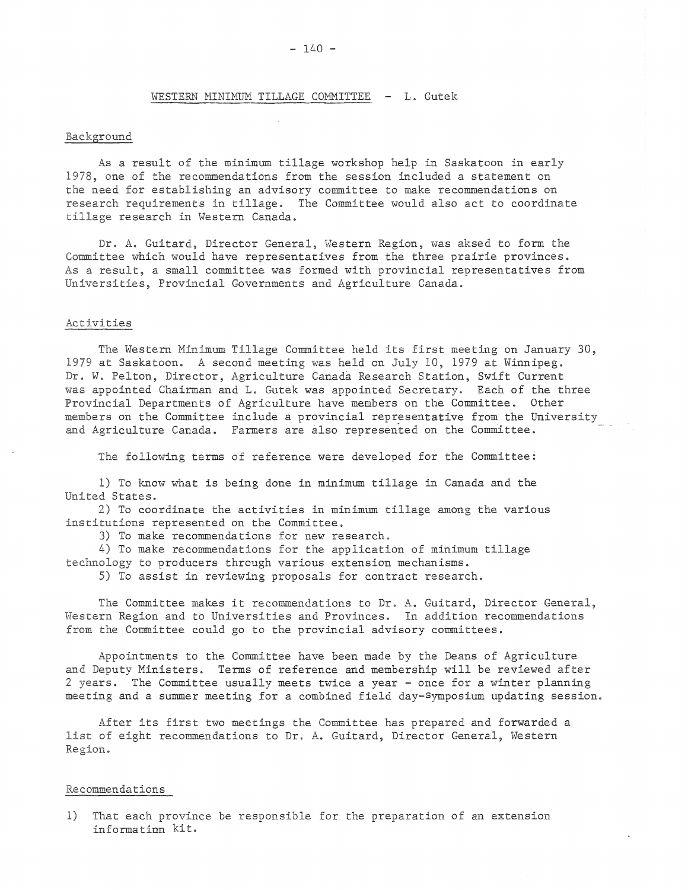## WESTERN MINIMUM TILLAGE COMMITTEE - L. Gutek

## Background

As a result of the minimum tillage workshop help in Saskatoon in early 1978, one of the recommendations from the session included a statement on the need for establishing an advisory committee to make recommendations on research requirements in tillage. The Committee would also act to coordinate tillage research in Western Canada.

Dr. A. Guitard, Director General, Western Region, was aksed to form the Committee which would have representatives from the three prairie provinces. As a result, a small committee was formed with provincial representatives from Universities, Provincial Governments and Agriculture Canada.

## Activities

The Western Minimum Tillage Committee held its first meeting on January 30, 1979 at Saskatoon. A second meeting was held on July 10, 1979 at Winnipeg. Dr. W. Pelton, Director, Agriculture Canada Research Station, Swift Current was appointed Chairman and L. Gutek was appointed Secretary. Each of the three Provincial Departments of Agriculture have members on the Committee. Other members on the Committee include a provincial representative from the University and Agriculture Canada. Farmers are also represented on the Committee.

The following terms of reference were developed for the Committee:

1) To know what is being done in minimum tillage in Canada and the United States.

2) To coordinate the activities in minimum tillage among the various institutions represented on the Committee.

3) To make recommendations for new research.

4) To make recommendations for the application of minimum tillage technology to producers through various extension mechanisms.

5) To assist in reviewing proposals for contract research.

The Committee makes it recommendations to Dr. A. Guitard, Director General, Western Region and to Universities and Provinces. In addition recommendations from the Committee could go to the provincial advisory committees.

Appointments to the Committee have been made by the Deans of Agriculture and Deputy Ministers. Terms of reference and membership will be reviewed after 2 years. The Committee usually meets twice a year - once for a winter planning meeting and a summer meeting for a combined field day-symposium updating session.

After its first two meetings the Committee has prepared and forwarded a list of eight recommendations to Dr. A. Guitard, Director General, Western Region.

## Recommendations

1) That each province be responsible for the preparation of an extension information kit.